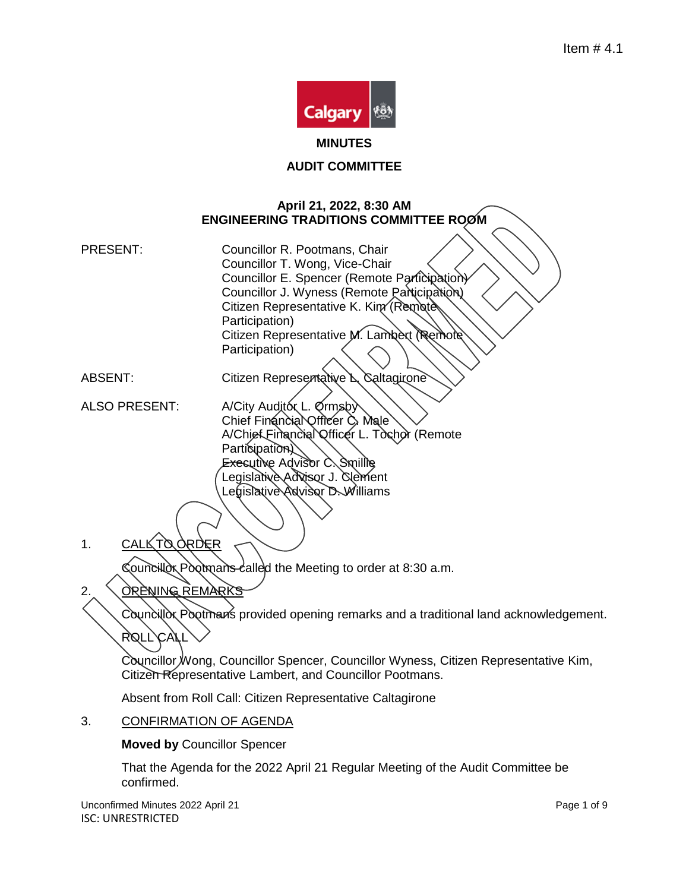

**MINUTES**

#### **AUDIT COMMITTEE**

#### **April 21, 2022, 8:30 AM ENGINEERING TRADITIONS COMMITTEE ROOM**

PRESENT: Councillor R. Pootmans, Chair Councillor T. Wong, Vice-Chair Councillor E. Spencer (Remote Participation) Councillor J. Wyness (Remote Participation) Citizen Representative K. Kim (Remote Participation) Citizen Representative M. Lambert Remote Participation)

- ABSENT: Citizen Representative L. Caltagirone
- ALSO PRESENT: A/City Auditor L. Ormsby Chief Financial Officer C. Male A/Chief Financial Officer L. Tochor (Remote Participation) Executive Advisor C. Smillie Legislative Advisor J. Clement Legislative Advisor D. Williams
- 1. CALL TO ORDER

Councillor Pootmans called the Meeting to order at 8:30 a.m.

- 2. OPENING REMARKS
	- Councillor Pootman's provided opening remarks and a traditional land acknowledgement. ROLL CAL

Councillor Wong, Councillor Spencer, Councillor Wyness, Citizen Representative Kim, Citizen Representative Lambert, and Councillor Pootmans.

Absent from Roll Call: Citizen Representative Caltagirone

3. CONFIRMATION OF AGENDA

**Moved by** Councillor Spencer

That the Agenda for the 2022 April 21 Regular Meeting of the Audit Committee be confirmed.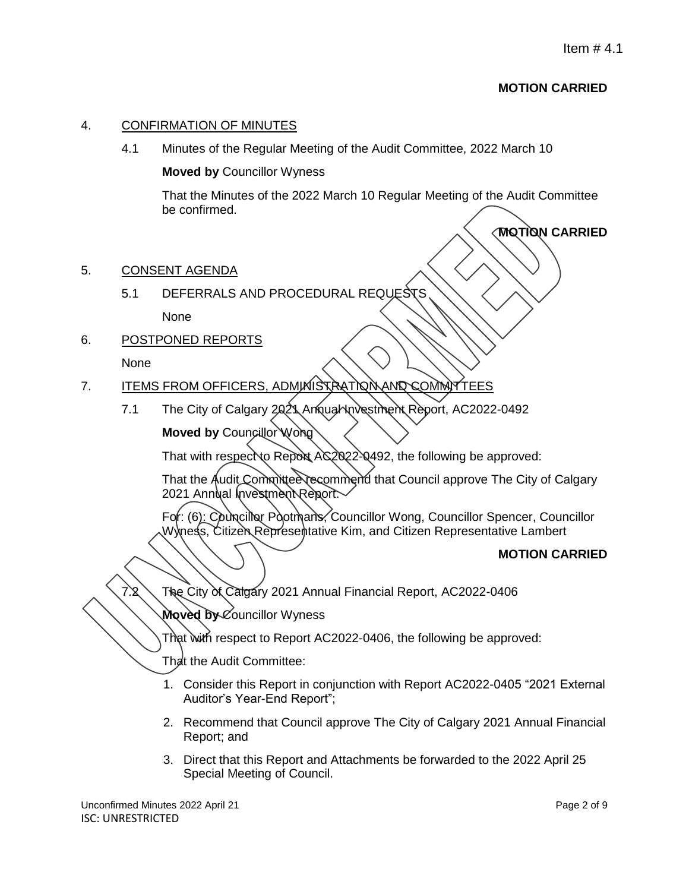**MOTION CARRIED**

# 4. CONFIRMATION OF MINUTES

4.1 Minutes of the Regular Meeting of the Audit Committee, 2022 March 10

### **Moved by** Councillor Wyness

That the Minutes of the 2022 March 10 Regular Meeting of the Audit Committee be confirmed.

- 5. CONSENT AGENDA
	- 5.1 DEFERRALS AND PROCEDURAL REQUESTS

None

6. POSTPONED REPORTS

#### None

- 7. ITEMS FROM OFFICERS, ADMINISTRATION AND COMMITTEES
	- 7.1 The City of Calgary 2021 Annual Novestment Report, AC2022-0492 **Moved by Councillor Wong**

That with respect to Report AC2022-0492, the following be approved:

That the Audit Committee recommend that Council approve The City of Calgary 2021 Annual Investment Report.

For: (6): Councillor Pootmans, Councillor Wong, Councillor Spencer, Councillor Wyness, Citizen Representative Kim, and Citizen Representative Lambert

# **MOTION CARRIED**

The City of Calgary 2021 Annual Financial Report, AC2022-0406

**Moved by** Councillor Wyness

That with respect to Report AC2022-0406, the following be approved:

That the Audit Committee:

- 1. Consider this Report in conjunction with Report AC2022-0405 "2021 External Auditor's Year-End Report";
- 2. Recommend that Council approve The City of Calgary 2021 Annual Financial Report; and
- 3. Direct that this Report and Attachments be forwarded to the 2022 April 25 Special Meeting of Council.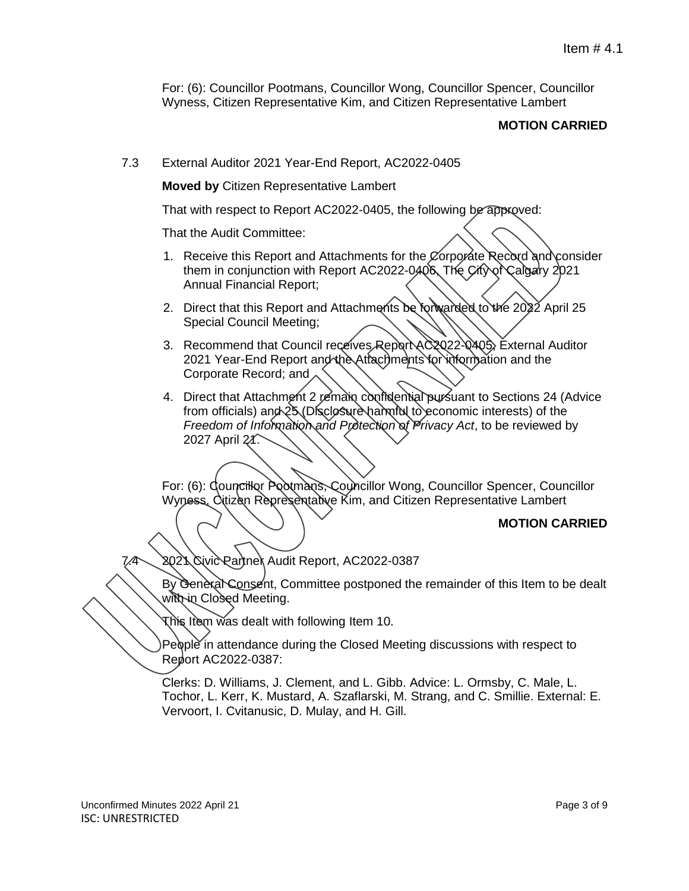For: (6): Councillor Pootmans, Councillor Wong, Councillor Spencer, Councillor Wyness, Citizen Representative Kim, and Citizen Representative Lambert

#### **MOTION CARRIED**

7.3 External Auditor 2021 Year-End Report, AC2022-0405

**Moved by** Citizen Representative Lambert

That with respect to Report AC2022-0405, the following be approved:

That the Audit Committee:

- 1. Receive this Report and Attachments for the Corporate Record and consider them in conjunction with Report AC2022-0406, The City of Calgary 2021 Annual Financial Report;
- 2. Direct that this Report and Attachments be forwarded to the 2022 April 25 Special Council Meeting;
- 3. Recommend that Council receives Report AC 2022-0405, External Auditor 2021 Year-End Report and the Attachments for information and the Corporate Record; and
- 4. Direct that Attachment 2 remain confidential pursuant to Sections 24 (Advice from officials) and  $25$  (Disclosure harmful to economic interests) of the *Freedom of Information and Protection of Privacy Act*, to be reviewed by 2027 April 21.

For: (6): Councillor Pootmans, Councillor Wong, Councillor Spencer, Councillor Wyness, Citizen Representative Kim, and Citizen Representative Lambert

#### **MOTION CARRIED**

7.4 2021 Civic Partner Audit Report, AC2022-0387

By General Consent, Committee postponed the remainder of this Item to be dealt with in Closed Meeting.

This Item was dealt with following Item 10.

People in attendance during the Closed Meeting discussions with respect to Report AC2022-0387:

Clerks: D. Williams, J. Clement, and L. Gibb. Advice: L. Ormsby, C. Male, L. Tochor, L. Kerr, K. Mustard, A. Szaflarski, M. Strang, and C. Smillie. External: E. Vervoort, I. Cvitanusic, D. Mulay, and H. Gill.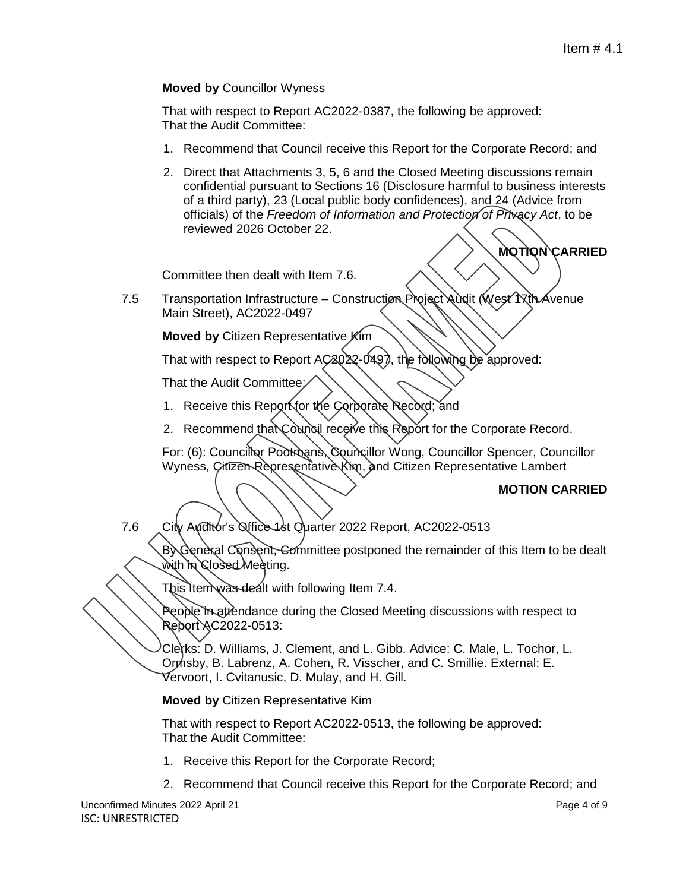# **Moved by** Councillor Wyness

That with respect to Report AC2022-0387, the following be approved: That the Audit Committee:

- 1. Recommend that Council receive this Report for the Corporate Record; and
- 2. Direct that Attachments 3, 5, 6 and the Closed Meeting discussions remain confidential pursuant to Sections 16 (Disclosure harmful to business interests of a third party), 23 (Local public body confidences), and 24 (Advice from officials) of the *Freedom of Information and Protection of Privacy Act*, to be reviewed 2026 October 22.

Committee then dealt with Item 7.6.

7.5 Transportation Infrastructure – Construction Project Audit (West 17th Avenue Main Street), AC2022-0497

**Moved by** Citizen Representative Kim

That with respect to Report AC2022-0497, the following be approved:

That the Audit Committee:

- 1. Receive this Report for the Corporate Record; and
- 2. Recommend that Council receive this Report for the Corporate Record.

For: (6): Councillor Pootmans, Councillor Wong, Councillor Spencer, Councillor Wyness, Citizen Representative Kim, and Citizen Representative Lambert

#### **MOTION CARRIED**

**MOTION CARRIED**

- 
- 7.6 City Auditor's Office 1st Quarter 2022 Report, AC2022-0513

By General Consent, Committee postponed the remainder of this Item to be dealt with in Closed Meeting.

This Item was dealt with following Item 7.4.

People in attendance during the Closed Meeting discussions with respect to Report AC2022-0513:

Clerks: D. Williams, J. Clement, and L. Gibb. Advice: C. Male, L. Tochor, L. Ormsby, B. Labrenz, A. Cohen, R. Visscher, and C. Smillie. External: E. Vervoort, I. Cvitanusic, D. Mulay, and H. Gill.

**Moved by** Citizen Representative Kim

That with respect to Report AC2022-0513, the following be approved: That the Audit Committee:

- 1. Receive this Report for the Corporate Record;
- 2. Recommend that Council receive this Report for the Corporate Record; and

Unconfirmed Minutes 2022 April 21 Page 4 of 9 ISC: UNRESTRICTED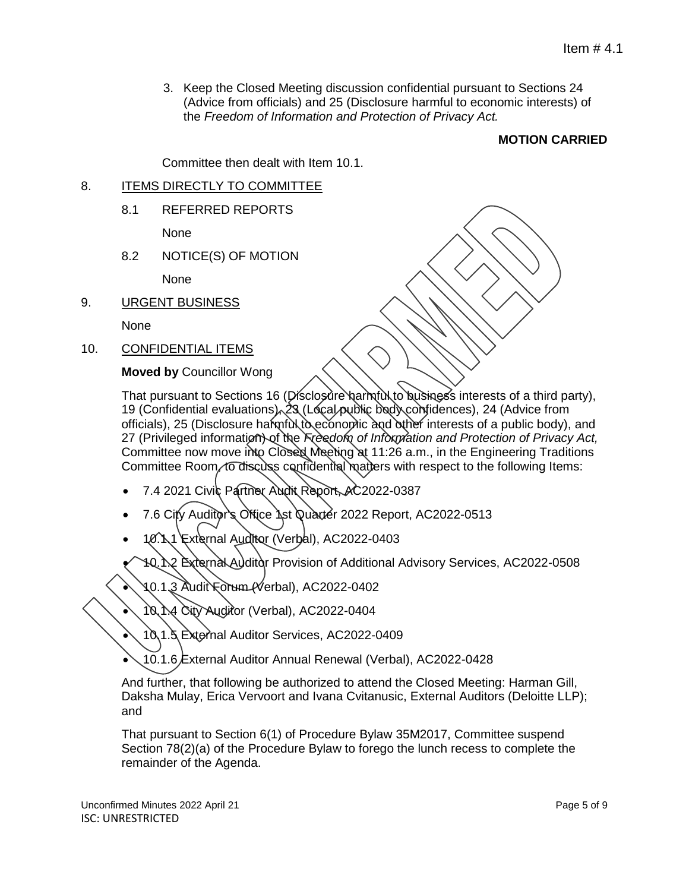3. Keep the Closed Meeting discussion confidential pursuant to Sections 24 (Advice from officials) and 25 (Disclosure harmful to economic interests) of the *Freedom of Information and Protection of Privacy Act.*

# **MOTION CARRIED**

Committee then dealt with Item 10.1.

# 8. ITEMS DIRECTLY TO COMMITTEE

8.1 REFERRED REPORTS

None

8.2 NOTICE(S) OF MOTION

None

9. URGENT BUSINESS

None

10. CONFIDENTIAL ITEMS

**Moved by** Councillor Wong

That pursuant to Sections 16 (Disclosure harmful to business interests of a third party), 19 (Confidential evaluations), 23 (Local public body confidences), 24 (Advice from officials), 25 (Disclosure harmful to economic and other interests of a public body), and 27 (Privileged information) of the *Freedom of Information and Protection of Privacy Act,* Committee now move into Closed Meeting at 11:26 a.m., in the Engineering Traditions Committee Room, to discuss confidential matters with respect to the following Items:

- 7.4 2021 Civic Partner Audit Report, AC2022-0387
- 7.6 City Auditor's Office 1st Quarter 2022 Report, AC2022-0513
- 10.1.1 External Auditor (Verbal), AC2022-0403

10.1.2 External Auditor Provision of Additional Advisory Services, AC2022-0508

10.1.3 Audit Forum (Verbal), AC2022-0402

10.1.4 City Auditor (Verbal), AC2022-0404

10.1.5 External Auditor Services, AC2022-0409

10.1.6 External Auditor Annual Renewal (Verbal), AC2022-0428

And further, that following be authorized to attend the Closed Meeting: Harman Gill, Daksha Mulay, Erica Vervoort and Ivana Cvitanusic, External Auditors (Deloitte LLP); and

That pursuant to Section 6(1) of Procedure Bylaw 35M2017, Committee suspend Section 78(2)(a) of the Procedure Bylaw to forego the lunch recess to complete the remainder of the Agenda.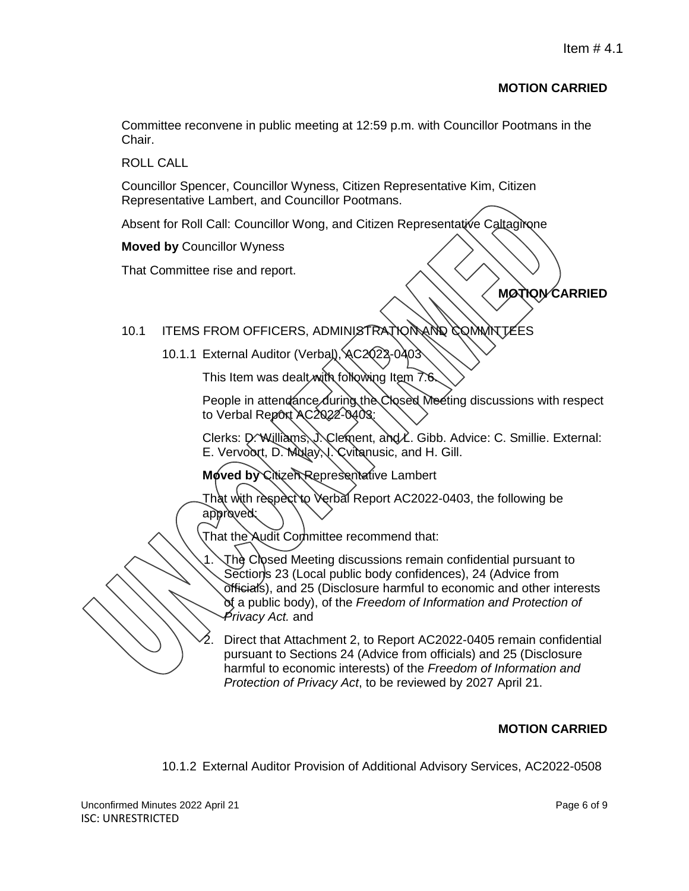# **MOTION CARRIED**

Committee reconvene in public meeting at 12:59 p.m. with Councillor Pootmans in the Chair.

ROLL CALL

Councillor Spencer, Councillor Wyness, Citizen Representative Kim, Citizen Representative Lambert, and Councillor Pootmans.

Absent for Roll Call: Councillor Wong, and Citizen Representative Caltagirone

**Moved by** Councillor Wyness

That Committee rise and report.

**MOTION CARRIED**

# 10.1 ITEMS FROM OFFICERS, ADMINISTRATION AND COMMITTEES

10.1.1 External Auditor (Verbal), AC2Q22-0403

This Item was dealt with following Item 7.6

People in attendance during the Closed Meeting discussions with respect to Verbal Report AC2022-0403:

Clerks: D. Williams, J. Clement, and L. Gibb. Advice: C. Smillie. External: E. Vervoort, D. Mulay, J. Cvitanusic, and H. Gill.

**Moved by Citizen Representative Lambert** 

That with respect to Verbal Report AC2022-0403, the following be approved:

That the Audit Committee recommend that:

1. The Closed Meeting discussions remain confidential pursuant to Sections 23 (Local public body confidences), 24 (Advice from officials), and 25 (Disclosure harmful to economic and other interests of a public body), of the *Freedom of Information and Protection of Privacy Act.* and

2. Direct that Attachment 2, to Report AC2022-0405 remain confidential pursuant to Sections 24 (Advice from officials) and 25 (Disclosure harmful to economic interests) of the *Freedom of Information and Protection of Privacy Act*, to be reviewed by 2027 April 21.

# **MOTION CARRIED**

10.1.2 External Auditor Provision of Additional Advisory Services, AC2022-0508

Unconfirmed Minutes 2022 April 21 Page 6 of 9 ISC: UNRESTRICTED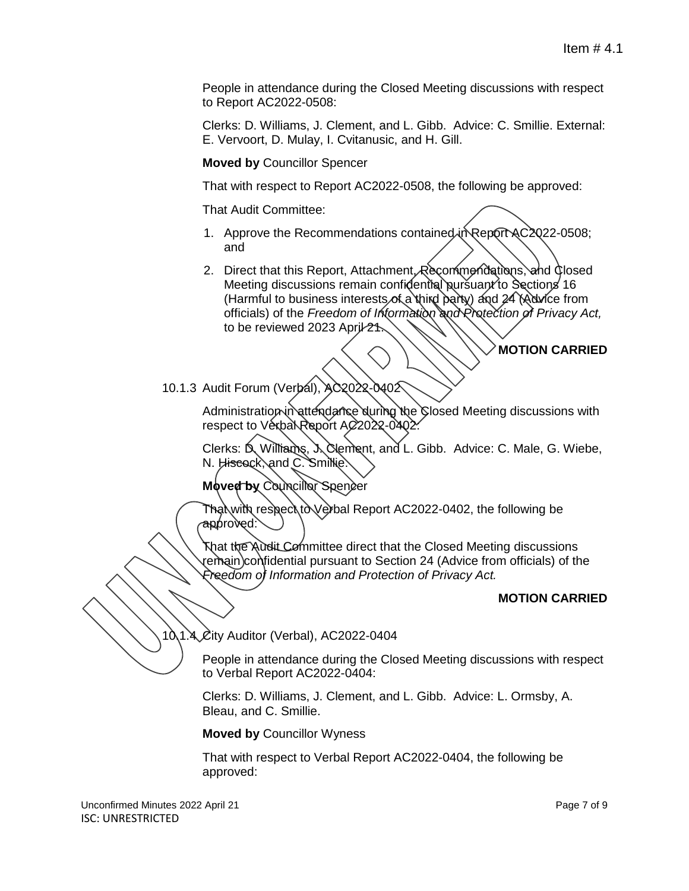People in attendance during the Closed Meeting discussions with respect to Report AC2022-0508:

Clerks: D. Williams, J. Clement, and L. Gibb. Advice: C. Smillie. External: E. Vervoort, D. Mulay, I. Cvitanusic, and H. Gill.

**Moved by** Councillor Spencer

That with respect to Report AC2022-0508, the following be approved:

That Audit Committee:

- 1. Approve the Recommendations contained in Report AC2022-0508; and
- 2. Direct that this Report, Attachment, Recommendations, and Closed Meeting discussions remain confidential pursuant to Sections 16 (Harmful to business interests of a third party) and 24 (Advice from officials) of the *Freedom of Information and Protection of Privacy Act,*  to be reviewed 2023 April 21.

# **MOTION CARRIED**

10.1.3 Audit Forum (Verbal), AC2022-0402

Administration in attendance during the Closed Meeting discussions with respect to Verbal Report AC 2022-0402.

Clerks: D. Williams, J. Clement, and L. Gibb. Advice: C. Male, G. Wiebe, N. Hiscock, and C. Smillie.

**Moved by Councillor Spencer** 

Tha়∖with respecা∖to∖Verbal Report AC2022-0402, the following be approved:

That the Audit Committee direct that the Closed Meeting discussions remain confidential pursuant to Section 24 (Advice from officials) of the *Freedom of Information and Protection of Privacy Act.*

#### **MOTION CARRIED**

10.1.4 City Auditor (Verbal), AC2022-0404

People in attendance during the Closed Meeting discussions with respect to Verbal Report AC2022-0404:

Clerks: D. Williams, J. Clement, and L. Gibb. Advice: L. Ormsby, A. Bleau, and C. Smillie.

**Moved by** Councillor Wyness

That with respect to Verbal Report AC2022-0404, the following be approved: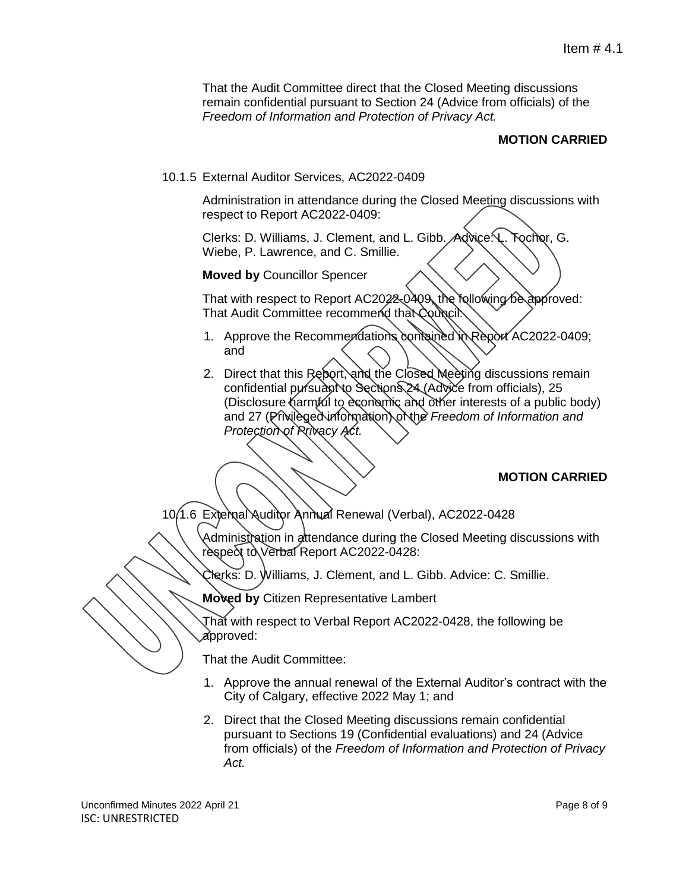That the Audit Committee direct that the Closed Meeting discussions remain confidential pursuant to Section 24 (Advice from officials) of the *Freedom of Information and Protection of Privacy Act.*

# **MOTION CARRIED**

10.1.5 External Auditor Services, AC2022-0409

Administration in attendance during the Closed Meeting discussions with respect to Report AC2022-0409:

Clerks: D. Williams, J. Clement, and L. Gibb. Advice: L. Tochor, G. Wiebe, P. Lawrence, and C. Smillie.

**Moved by** Councillor Spencer

That with respect to Report AC2022-0409, the following be approved: That Audit Committee recommend that Council:

- 1. Approve the Recommendations contained in Report AC2022-0409; and
- 2. Direct that this Report, and the Closed Meeting discussions remain confidential pursuant to Section 24 (Advice from officials), 25 (Disclosure harmful to economic and other interests of a public body) and 27 (Privileged information) of the *Freedom of Information and Protection of Privacy Act.*

#### **MOTION CARRIED**

10.1.6 External Auditor Annual Renewal (Verbal), AC2022-0428

Administration in attendance during the Closed Meeting discussions with respect to Verbal Report AC2022-0428:

Clerks: D. Williams, J. Clement, and L. Gibb. Advice: C. Smillie.

**Moved by** Citizen Representative Lambert

That with respect to Verbal Report AC2022-0428, the following be approved:

That the Audit Committee:

- 1. Approve the annual renewal of the External Auditor's contract with the City of Calgary, effective 2022 May 1; and
- 2. Direct that the Closed Meeting discussions remain confidential pursuant to Sections 19 (Confidential evaluations) and 24 (Advice from officials) of the *Freedom of Information and Protection of Privacy Act.*